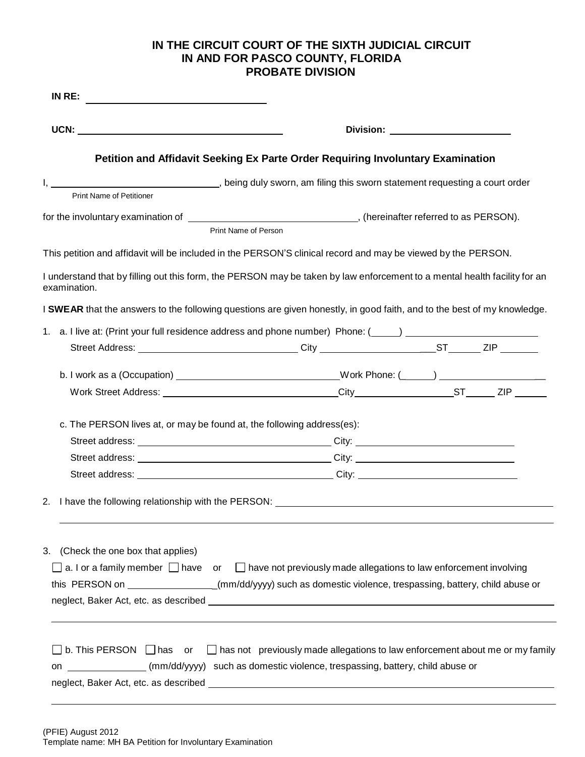## **IN THE CIRCUIT COURT OF THE SIXTH JUDICIAL CIRCUIT IN AND FOR PASCO COUNTY, FLORIDA PROBATE DIVISION**

|                                                                                           | Division: __________________________                                                                                                                                                                                           |  |  |  |  |  |  |
|-------------------------------------------------------------------------------------------|--------------------------------------------------------------------------------------------------------------------------------------------------------------------------------------------------------------------------------|--|--|--|--|--|--|
|                                                                                           | Petition and Affidavit Seeking Ex Parte Order Requiring Involuntary Examination                                                                                                                                                |  |  |  |  |  |  |
| I, 1. 2008 (1) Spring duly sworn, am filing this sworn statement requesting a court order |                                                                                                                                                                                                                                |  |  |  |  |  |  |
| <b>Print Name of Petitioner</b>                                                           |                                                                                                                                                                                                                                |  |  |  |  |  |  |
|                                                                                           | Print Name of Person                                                                                                                                                                                                           |  |  |  |  |  |  |
|                                                                                           | This petition and affidavit will be included in the PERSON'S clinical record and may be viewed by the PERSON.                                                                                                                  |  |  |  |  |  |  |
| examination.                                                                              | I understand that by filling out this form, the PERSON may be taken by law enforcement to a mental health facility for an                                                                                                      |  |  |  |  |  |  |
|                                                                                           | I SWEAR that the answers to the following questions are given honestly, in good faith, and to the best of my knowledge.                                                                                                        |  |  |  |  |  |  |
| 1.                                                                                        | a. I live at: (Print your full residence address and phone number) Phone: (\intimum ) \intimum \intimum \intimum \intimum \intimum \intimum \intimum \intimum \intimum \intimum \intimum \intimum \intimum \intimum \intimum \ |  |  |  |  |  |  |
|                                                                                           | Street Address: _________________________________City _________________________ST_______ZIP ________                                                                                                                           |  |  |  |  |  |  |
|                                                                                           | b. I work as a (Occupation) ___________________________________Work Phone: (_____) ______________________                                                                                                                      |  |  |  |  |  |  |
|                                                                                           |                                                                                                                                                                                                                                |  |  |  |  |  |  |
|                                                                                           |                                                                                                                                                                                                                                |  |  |  |  |  |  |
| c. The PERSON lives at, or may be found at, the following address(es):                    |                                                                                                                                                                                                                                |  |  |  |  |  |  |
|                                                                                           |                                                                                                                                                                                                                                |  |  |  |  |  |  |
|                                                                                           |                                                                                                                                                                                                                                |  |  |  |  |  |  |
|                                                                                           |                                                                                                                                                                                                                                |  |  |  |  |  |  |
|                                                                                           |                                                                                                                                                                                                                                |  |  |  |  |  |  |
|                                                                                           | 2. I have the following relationship with the PERSON:                                                                                                                                                                          |  |  |  |  |  |  |
|                                                                                           |                                                                                                                                                                                                                                |  |  |  |  |  |  |
|                                                                                           |                                                                                                                                                                                                                                |  |  |  |  |  |  |
|                                                                                           |                                                                                                                                                                                                                                |  |  |  |  |  |  |
|                                                                                           | a. I or a family member $\Box$ have or $\Box$ have not previously made allegations to law enforcement involving                                                                                                                |  |  |  |  |  |  |
| 3. (Check the one box that applies)                                                       | this PERSON on _________________(mm/dd/yyyy) such as domestic violence, trespassing, battery, child abuse or                                                                                                                   |  |  |  |  |  |  |
|                                                                                           |                                                                                                                                                                                                                                |  |  |  |  |  |  |
|                                                                                           | b. This PERSON $\Box$ has or $\Box$ has not previously made allegations to law enforcement about me or my family                                                                                                               |  |  |  |  |  |  |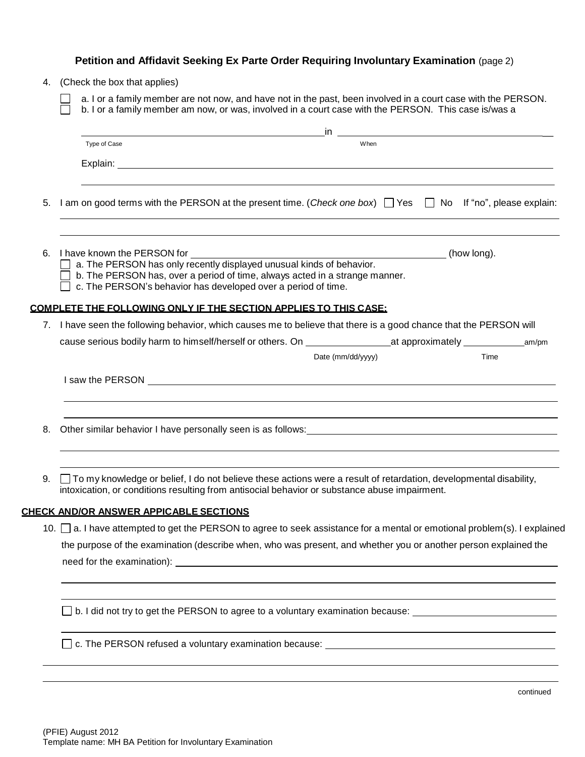|    | Petition and Affidavit Seeking Ex Parte Order Requiring Involuntary Examination (page 2)                                                                                                                                                                                     |  |  |  |  |  |
|----|------------------------------------------------------------------------------------------------------------------------------------------------------------------------------------------------------------------------------------------------------------------------------|--|--|--|--|--|
|    | 4. (Check the box that applies)<br>a. I or a family member are not now, and have not in the past, been involved in a court case with the PERSON.<br>b. I or a family member am now, or was, involved in a court case with the PERSON. This case is/was a                     |  |  |  |  |  |
|    |                                                                                                                                                                                                                                                                              |  |  |  |  |  |
|    |                                                                                                                                                                                                                                                                              |  |  |  |  |  |
|    | When<br>Type of Case                                                                                                                                                                                                                                                         |  |  |  |  |  |
|    |                                                                                                                                                                                                                                                                              |  |  |  |  |  |
| 5. | I am on good terms with the PERSON at the present time. (Check one box) □ Yes □ No If "no", please explain:                                                                                                                                                                  |  |  |  |  |  |
|    | 6. I have known the PERSON for<br>(how long).<br>$\Box$ a. The PERSON has only recently displayed unusual kinds of behavior.<br>b. The PERSON has, over a period of time, always acted in a strange manner.<br>c. The PERSON's behavior has developed over a period of time. |  |  |  |  |  |
|    | <b>COMPLETE THE FOLLOWING ONLY IF THE SECTION APPLIES TO THIS CASE:</b>                                                                                                                                                                                                      |  |  |  |  |  |
|    | 7. I have seen the following behavior, which causes me to believe that there is a good chance that the PERSON will                                                                                                                                                           |  |  |  |  |  |
|    |                                                                                                                                                                                                                                                                              |  |  |  |  |  |
|    | Time<br>Date (mm/dd/yyyy)                                                                                                                                                                                                                                                    |  |  |  |  |  |
|    | I saw the PERSON <u>example and the set of the set of the set of the set of the set of the set of the set of the set of the set of the set of the set of the set of the set of the set of the set of the set of the set of the s</u>                                         |  |  |  |  |  |
| 8. | Other similar behavior I have personally seen is as follows: example and a state of the similar behavior I have personally seen is as follows:                                                                                                                               |  |  |  |  |  |
| 9. | $\Box$ To my knowledge or belief, I do not believe these actions were a result of retardation, developmental disability,<br>intoxication, or conditions resulting from antisocial behavior or substance abuse impairment.                                                    |  |  |  |  |  |
|    | <u>CHECK AND/OR ANSWER APPICABLE SECTIONS</u>                                                                                                                                                                                                                                |  |  |  |  |  |
|    | 10. □ a. I have attempted to get the PERSON to agree to seek assistance for a mental or emotional problem(s). I explained                                                                                                                                                    |  |  |  |  |  |
|    | the purpose of the examination (describe when, who was present, and whether you or another person explained the                                                                                                                                                              |  |  |  |  |  |
|    |                                                                                                                                                                                                                                                                              |  |  |  |  |  |
|    | b. I did not try to get the PERSON to agree to a voluntary examination because:                                                                                                                                                                                              |  |  |  |  |  |
|    | <u> 1980 - Johann Barnett, fransk politiker (d. 1980)</u>                                                                                                                                                                                                                    |  |  |  |  |  |
|    |                                                                                                                                                                                                                                                                              |  |  |  |  |  |

continued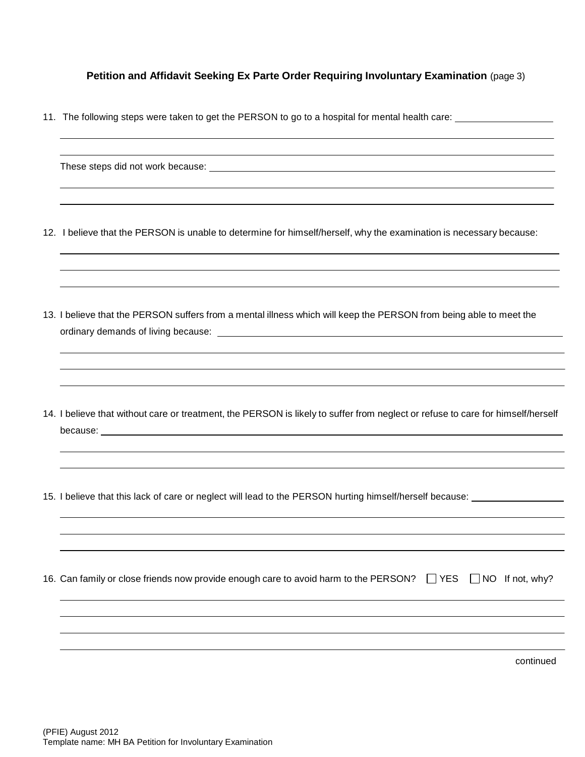**Petition and Affidavit Seeking Ex Parte Order Requiring Involuntary Examination** (page 3)

11. The following steps were taken to get the PERSON to go to a hospital for mental health care:

| 12. I believe that the PERSON is unable to determine for himself/herself, why the examination is necessary because:                                                                                                                  |
|--------------------------------------------------------------------------------------------------------------------------------------------------------------------------------------------------------------------------------------|
| 13. I believe that the PERSON suffers from a mental illness which will keep the PERSON from being able to meet the<br>ordinary demands of living because: example and a state of the state of the state of the state of the state of |
| 14. I believe that without care or treatment, the PERSON is likely to suffer from neglect or refuse to care for himself/herself                                                                                                      |
| 15. I believe that this lack of care or neglect will lead to the PERSON hurting himself/herself because: _____________                                                                                                               |
| 16. Can family or close friends now provide enough care to avoid harm to the PERSON? JYES JNO If not, why?                                                                                                                           |
| continued                                                                                                                                                                                                                            |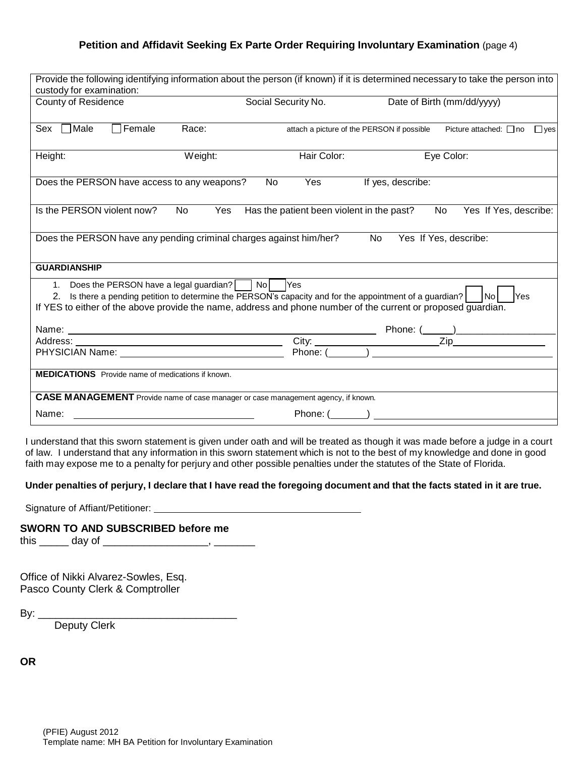## **Petition and Affidavit Seeking Ex Parte Order Requiring Involuntary Examination** (page 4)

| Provide the following identifying information about the person (if known) if it is determined necessary to take the person into<br>custody for examination:                                                                                                                                                      |         |                                            |                            |                                           |  |  |  |  |  |
|------------------------------------------------------------------------------------------------------------------------------------------------------------------------------------------------------------------------------------------------------------------------------------------------------------------|---------|--------------------------------------------|----------------------------|-------------------------------------------|--|--|--|--|--|
| <b>County of Residence</b>                                                                                                                                                                                                                                                                                       |         | Social Security No.                        | Date of Birth (mm/dd/yyyy) |                                           |  |  |  |  |  |
| Female<br>Male<br>Sex                                                                                                                                                                                                                                                                                            | Race:   | attach a picture of the PERSON if possible |                            | Picture attached: $\Box$ no<br>$\Box$ yes |  |  |  |  |  |
| Height:                                                                                                                                                                                                                                                                                                          | Weight: | Hair Color:                                | Eye Color:                 |                                           |  |  |  |  |  |
| Does the PERSON have access to any weapons?                                                                                                                                                                                                                                                                      | No      | Yes                                        | If yes, describe:          |                                           |  |  |  |  |  |
| Is the PERSON violent now?<br>No                                                                                                                                                                                                                                                                                 | Yes     | Has the patient been violent in the past?  | No.                        | Yes If Yes, describe:                     |  |  |  |  |  |
| Does the PERSON have any pending criminal charges against him/her?<br>Yes If Yes, describe:<br>No l                                                                                                                                                                                                              |         |                                            |                            |                                           |  |  |  |  |  |
| <b>GUARDIANSHIP</b>                                                                                                                                                                                                                                                                                              |         |                                            |                            |                                           |  |  |  |  |  |
| 1. Does the PERSON have a legal guardian?     No         Yes<br>2. Is there a pending petition to determine the PERSON's capacity and for the appointment of a guardian?<br><b>Yes</b><br>-INol<br>If YES to either of the above provide the name, address and phone number of the current or proposed guardian. |         |                                            |                            |                                           |  |  |  |  |  |
| Name: <u>Name:</u> Name: 2008                                                                                                                                                                                                                                                                                    |         |                                            |                            |                                           |  |  |  |  |  |
|                                                                                                                                                                                                                                                                                                                  |         |                                            |                            |                                           |  |  |  |  |  |
|                                                                                                                                                                                                                                                                                                                  |         |                                            |                            |                                           |  |  |  |  |  |
| <b>MEDICATIONS</b> Provide name of medications if known.                                                                                                                                                                                                                                                         |         |                                            |                            |                                           |  |  |  |  |  |
| CASE MANAGEMENT Provide name of case manager or case management agency, if known.                                                                                                                                                                                                                                |         |                                            |                            |                                           |  |  |  |  |  |
| Name:                                                                                                                                                                                                                                                                                                            |         |                                            |                            |                                           |  |  |  |  |  |

I understand that this sworn statement is given under oath and will be treated as though it was made before a judge in a court of law. I understand that any information in this sworn statement which is not to the best of my knowledge and done in good faith may expose me to a penalty for perjury and other possible penalties under the statutes of the State of Florida.

## Under penalties of perjury, I declare that I have read the foregoing document and that the facts stated in it are true.

Signature of Affiant/Petitioner:

## **SWORN TO AND SUBSCRIBED before me**

this \_\_\_\_\_\_ day of \_\_\_\_\_\_\_\_\_\_\_\_\_\_\_\_\_\_\_\_\_, \_\_\_\_\_\_\_\_\_

Office of Nikki Alvarez-Sowles, Esq. Pasco County Clerk & Comptroller

By:  $\_\_$ 

Deputy Clerk

**OR**